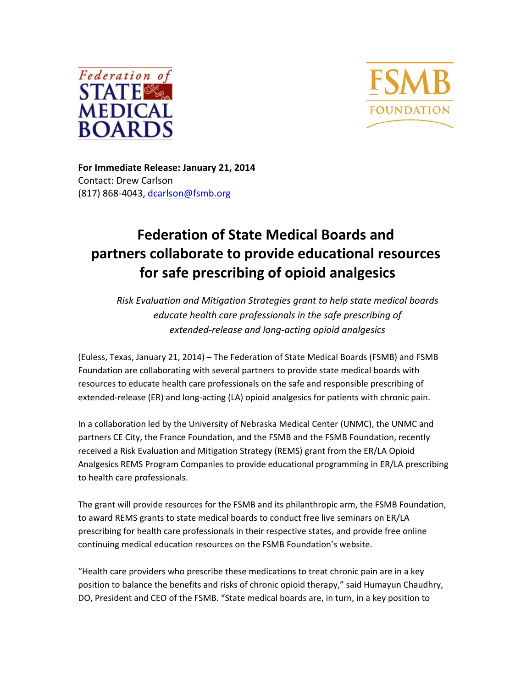



**For Immediate Release: January 21, 2014** Contact: Drew Carlson (817) 868-4043, dcarlson@fsmb.org

## **Federation of State Medical Boards and partners collaborate to provide educational resources for safe prescribing of opioid analgesics**

*Risk Evaluation and Mitigation Strategies grant to help state medical boards educate health care professionals in the safe prescribing of extended‐release and long‐acting opioid analgesics* 

(Euless, Texas, January 21, 2014) – The Federation of State Medical Boards (FSMB) and FSMB Foundation are collaborating with several partners to provide state medical boards with resources to educate health care professionals on the safe and responsible prescribing of extended-release (ER) and long-acting (LA) opioid analgesics for patients with chronic pain.

In a collaboration led by the University of Nebraska Medical Center (UNMC), the UNMC and partners CE City, the France Foundation, and the FSMB and the FSMB Foundation, recently received a Risk Evaluation and Mitigation Strategy (REMS) grant from the ER/LA Opioid Analgesics REMS Program Companies to provide educational programming in ER/LA prescribing to health care professionals.

The grant will provide resources for the FSMB and its philanthropic arm, the FSMB Foundation, to award REMS grants to state medical boards to conduct free live seminars on ER/LA prescribing for health care professionals in their respective states, and provide free online continuing medical education resources on the FSMB Foundation's website.

"Health care providers who prescribe these medications to treat chronic pain are in a key position to balance the benefits and risks of chronic opioid therapy," said Humayun Chaudhry, DO, President and CEO of the FSMB. "State medical boards are, in turn, in a key position to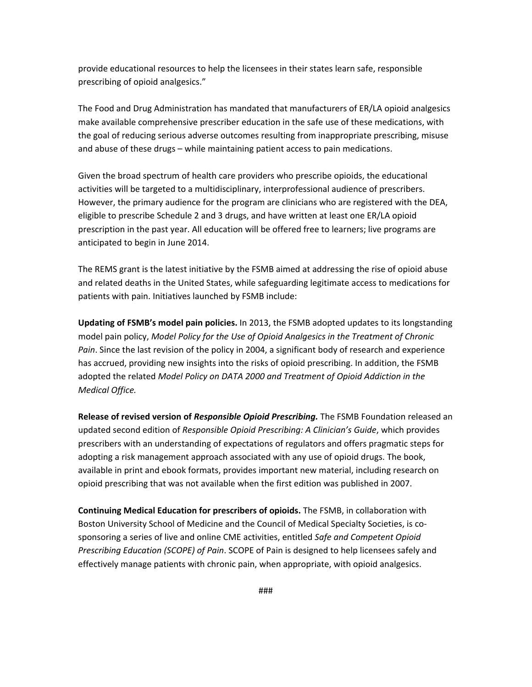provide educational resources to help the licensees in their states learn safe, responsible prescribing of opioid analgesics."

The Food and Drug Administration has mandated that manufacturers of ER/LA opioid analgesics make available comprehensive prescriber education in the safe use of these medications, with the goal of reducing serious adverse outcomes resulting from inappropriate prescribing, misuse and abuse of these drugs – while maintaining patient access to pain medications.

Given the broad spectrum of health care providers who prescribe opioids, the educational activities will be targeted to a multidisciplinary, interprofessional audience of prescribers. However, the primary audience for the program are clinicians who are registered with the DEA, eligible to prescribe Schedule 2 and 3 drugs, and have written at least one ER/LA opioid prescription in the past year. All education will be offered free to learners; live programs are anticipated to begin in June 2014.

The REMS grant is the latest initiative by the FSMB aimed at addressing the rise of opioid abuse and related deaths in the United States, while safeguarding legitimate access to medications for patients with pain. Initiatives launched by FSMB include:

**Updating of FSMB's model pain policies.** In 2013, the FSMB adopted updates to its longstanding model pain policy, *Model Policy for the Use of Opioid Analgesics in the Treatment of Chronic Pain*. Since the last revision of the policy in 2004, a significant body of research and experience has accrued, providing new insights into the risks of opioid prescribing. In addition, the FSMB adopted the related *Model Policy on DATA 2000 and Treatment of Opioid Addiction in the Medical Office.*

**Release of revised version of** *Responsible Opioid Prescribing.* The FSMB Foundation released an updated second edition of *Responsible Opioid Prescribing: A Clinician's Guide*, which provides prescribers with an understanding of expectations of regulators and offers pragmatic steps for adopting a risk management approach associated with any use of opioid drugs. The book, available in print and ebook formats, provides important new material, including research on opioid prescribing that was not available when the first edition was published in 2007.

**Continuing Medical Education for prescribers of opioids.** The FSMB, in collaboration with Boston University School of Medicine and the Council of Medical Specialty Societies, is co‐ sponsoring a series of live and online CME activities, entitled *Safe and Competent Opioid Prescribing Education (SCOPE) of Pain*. SCOPE of Pain is designed to help licensees safely and effectively manage patients with chronic pain, when appropriate, with opioid analgesics.